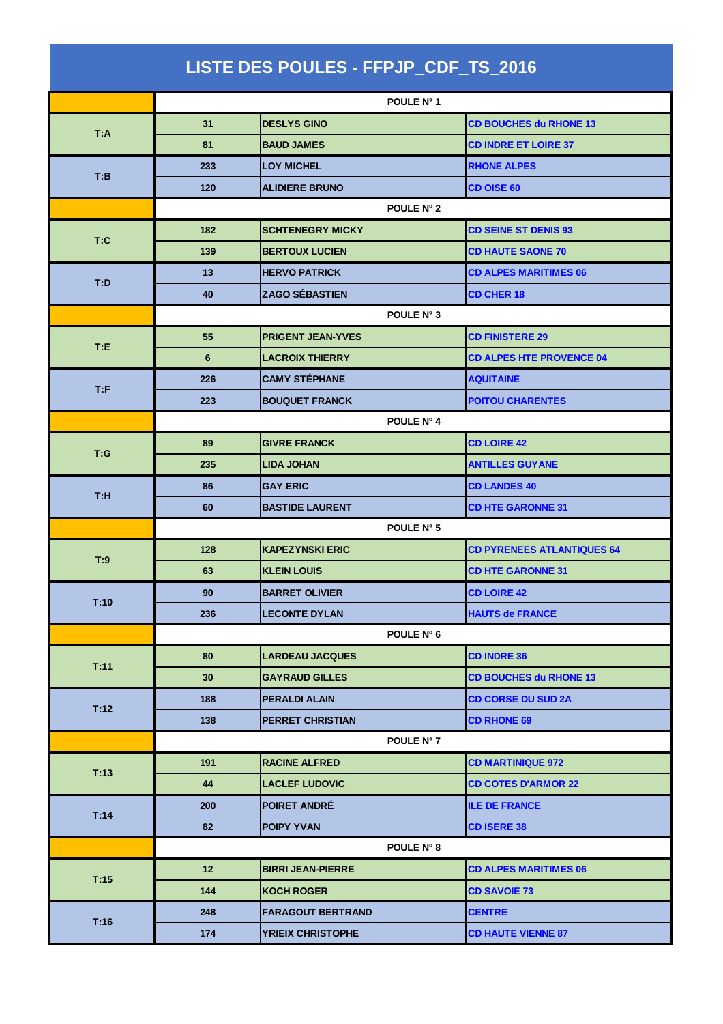| LISTE DES POULES - FFPJP_CDF_TS_2016 |                 |                          |                                   |
|--------------------------------------|-----------------|--------------------------|-----------------------------------|
|                                      |                 | POULE N° 1               |                                   |
| T:A                                  | 31              | <b>DESLYS GINO</b>       | <b>CD BOUCHES du RHONE 13</b>     |
|                                      | 81              | <b>BAUD JAMES</b>        | <b>CD INDRE ET LOIRE 37</b>       |
| T:B                                  | 233             | <b>LOY MICHEL</b>        | <b>RHONE ALPES</b>                |
|                                      | 120             | <b>ALIDIERE BRUNO</b>    | <b>CD OISE 60</b>                 |
|                                      |                 | POULE N° 2               |                                   |
| T:C                                  | 182             | <b>SCHTENEGRY MICKY</b>  | <b>CD SEINE ST DENIS 93</b>       |
|                                      | 139             | <b>BERTOUX LUCIEN</b>    | <b>CD HAUTE SAONE 70</b>          |
| T:D                                  | 13              | <b>HERVO PATRICK</b>     | <b>CD ALPES MARITIMES 06</b>      |
|                                      | 40              | <b>ZAGO SÉBASTIEN</b>    | <b>CD CHER 18</b>                 |
|                                      |                 | POULE N° 3               |                                   |
| T:E                                  | 55              | <b>PRIGENT JEAN-YVES</b> | <b>CD FINISTERE 29</b>            |
|                                      | 6               | <b>LACROIX THIERRY</b>   | <b>CD ALPES HTE PROVENCE 04</b>   |
| T: F                                 | 226             | <b>CAMY STÉPHANE</b>     | <b>AQUITAINE</b>                  |
|                                      | 223             | <b>BOUQUET FRANCK</b>    | <b>POITOU CHARENTES</b>           |
|                                      | POULE N° 4      |                          |                                   |
| T:G                                  | 89              | <b>GIVRE FRANCK</b>      | <b>CD LOIRE 42</b>                |
|                                      | 235             | <b>LIDA JOHAN</b>        | <b>ANTILLES GUYANE</b>            |
| T:H                                  | 86              | <b>GAY ERIC</b>          | <b>CD LANDES 40</b>               |
|                                      | 60              | <b>BASTIDE LAURENT</b>   | <b>CD HTE GARONNE 31</b>          |
|                                      | POULE N° 5      |                          |                                   |
| T:9                                  | 128             | <b>KAPEZYNSKI ERIC</b>   | <b>CD PYRENEES ATLANTIQUES 64</b> |
|                                      | 63              | <b>KLEIN LOUIS</b>       | <b>CD HTE GARONNE 31</b>          |
| T:10                                 | 90              | <b>BARRET OLIVIER</b>    | <b>CD LOIRE 42</b>                |
|                                      | 236             | <b>LECONTE DYLAN</b>     | <b>HAUTS de FRANCE</b>            |
|                                      |                 | POULE N° 6               |                                   |
| T:11                                 | 80              | <b>LARDEAU JACQUES</b>   | <b>CD INDRE 36</b>                |
|                                      | 30              | <b>GAYRAUD GILLES</b>    | <b>CD BOUCHES du RHONE 13</b>     |
| T:12                                 | 188             | <b>PERALDI ALAIN</b>     | <b>CD CORSE DU SUD 2A</b>         |
|                                      | 138             | <b>PERRET CHRISTIAN</b>  | <b>CD RHONE 69</b>                |
|                                      |                 | POULE N° 7               |                                   |
| T:13                                 | 191             | <b>RACINE ALFRED</b>     | <b>CD MARTINIQUE 972</b>          |
|                                      | 44              | <b>LACLEF LUDOVIC</b>    | <b>CD COTES D'ARMOR 22</b>        |
| T:14                                 | 200             | <b>POIRET ANDRE</b>      | <b>ILE DE FRANCE</b>              |
|                                      | 82              | <b>POIPY YVAN</b>        | <b>CD ISERE 38</b>                |
|                                      |                 | POULE N° 8               |                                   |
| T:15                                 | 12 <sup>2</sup> | <b>BIRRI JEAN-PIERRE</b> | <b>CD ALPES MARITIMES 06</b>      |
|                                      | 144             | <b>KOCH ROGER</b>        | <b>CD SAVOIE 73</b>               |
|                                      | 248             | <b>FARAGOUT BERTRAND</b> | <b>CENTRE</b>                     |
| T:16                                 | 174             | <b>YRIEIX CHRISTOPHE</b> | <b>CD HAUTE VIENNE 87</b>         |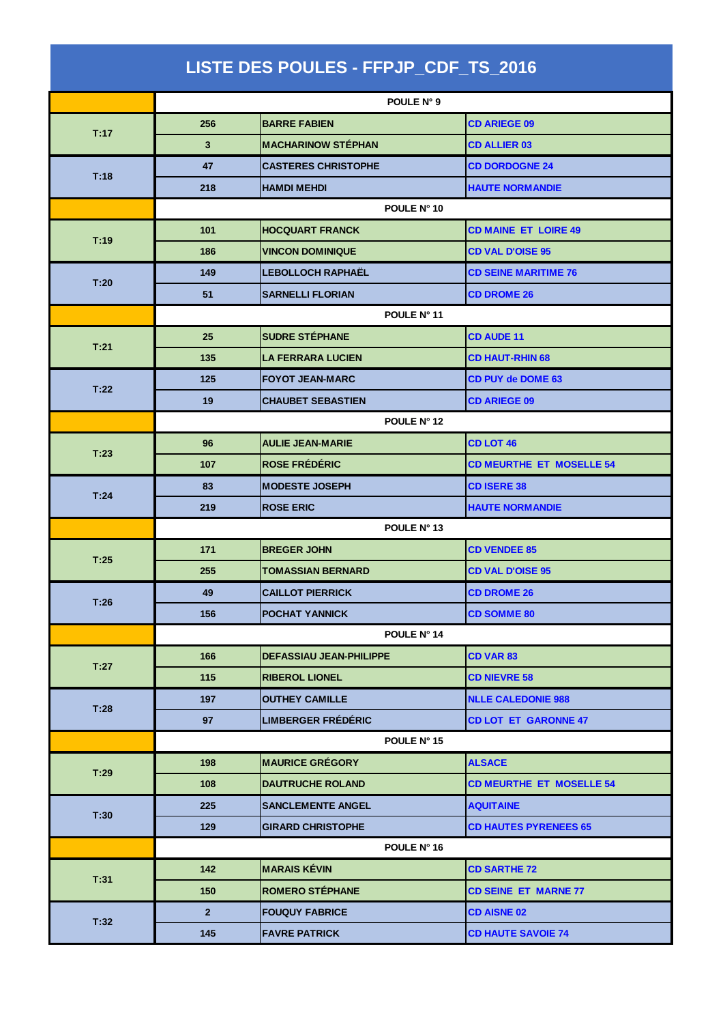| LISTE DES POULES - FFPJP_CDF_TS_2016 |                |                                |                                 |
|--------------------------------------|----------------|--------------------------------|---------------------------------|
|                                      | POULE N° 9     |                                |                                 |
|                                      | 256            | <b>BARRE FABIEN</b>            | <b>CD ARIEGE 09</b>             |
| T:17                                 | 3              | <b>MACHARINOW STÉPHAN</b>      | <b>CD ALLIER 03</b>             |
|                                      | 47             | <b>CASTERES CHRISTOPHE</b>     | <b>CD DORDOGNE 24</b>           |
| T:18                                 | 218            | <b>HAMDI MEHDI</b>             | <b>HAUTE NORMANDIE</b>          |
|                                      |                | POULE N° 10                    |                                 |
| T:19                                 | 101            | <b>HOCQUART FRANCK</b>         | <b>CD MAINE ET LOIRE 49</b>     |
|                                      | 186            | <b>VINCON DOMINIQUE</b>        | <b>CD VAL D'OISE 95</b>         |
| T:20                                 | 149            | <b>LEBOLLOCH RAPHAËL</b>       | <b>CD SEINE MARITIME 76</b>     |
|                                      | 51             | <b>SARNELLI FLORIAN</b>        | <b>CD DROME 26</b>              |
|                                      |                | POULE N° 11                    |                                 |
| T:21                                 | 25             | <b>SUDRE STÉPHANE</b>          | <b>CD AUDE 11</b>               |
|                                      | 135            | <b>LA FERRARA LUCIEN</b>       | <b>CD HAUT-RHIN 68</b>          |
| T:22                                 | 125            | <b>FOYOT JEAN-MARC</b>         | <b>CD PUY de DOME 63</b>        |
|                                      | 19             | <b>CHAUBET SEBASTIEN</b>       | <b>CD ARIEGE 09</b>             |
|                                      | POULE N° 12    |                                |                                 |
| T:23                                 | 96             | <b>AULIE JEAN-MARIE</b>        | <b>CD LOT 46</b>                |
|                                      | 107            | <b>ROSE FRÉDÉRIC</b>           | <b>CD MEURTHE ET MOSELLE 54</b> |
| T:24                                 | 83             | <b>MODESTE JOSEPH</b>          | <b>CD ISERE 38</b>              |
|                                      | 219            | <b>ROSE ERIC</b>               | <b>HAUTE NORMANDIE</b>          |
|                                      | POULE N° 13    |                                |                                 |
| T:25                                 | 171            | <b>BREGER JOHN</b>             | <b>CD VENDEE 85</b>             |
|                                      | 255            | <b>TOMASSIAN BERNARD</b>       | <b>CD VAL D'OISE 95</b>         |
| T:26                                 | 49             | <b>CAILLOT PIERRICK</b>        | <b>CD DROME 26</b>              |
|                                      | 156            | <b>POCHAT YANNICK</b>          | <b>CD SOMME 80</b>              |
|                                      | POULE N° 14    |                                |                                 |
| T:27                                 | 166            | <b>DEFASSIAU JEAN-PHILIPPE</b> | <b>CD VAR 83</b>                |
|                                      | 115            | <b>RIBEROL LIONEL</b>          | <b>CD NIEVRE 58</b>             |
| T:28                                 | 197            | <b>OUTHEY CAMILLE</b>          | <b>NLLE CALEDONIE 988</b>       |
|                                      | 97             | <b>LIMBERGER FRÉDÉRIC</b>      | <b>CD LOT ET GARONNE 47</b>     |
|                                      |                | POULE N° 15                    |                                 |
| T:29                                 | 198            | <b>MAURICE GRÉGORY</b>         | <b>ALSACE</b>                   |
|                                      | 108            | <b>DAUTRUCHE ROLAND</b>        | <b>CD MEURTHE ET MOSELLE 54</b> |
| T:30                                 | 225            | <b>SANCLEMENTE ANGEL</b>       | <b>AQUITAINE</b>                |
|                                      | 129            | <b>GIRARD CHRISTOPHE</b>       | <b>CD HAUTES PYRENEES 65</b>    |
|                                      |                | POULE N° 16                    |                                 |
| T:31                                 | 142            | <b>MARAIS KÉVIN</b>            | <b>CD SARTHE 72</b>             |
|                                      | 150            | <b>ROMERO STÉPHANE</b>         | <b>CD SEINE ET MARNE 77</b>     |
|                                      | 2 <sup>2</sup> | <b>FOUQUY FABRICE</b>          | <b>CD AISNE 02</b>              |
| T:32                                 | 145            | <b>FAVRE PATRICK</b>           | <b>CD HAUTE SAVOIE 74</b>       |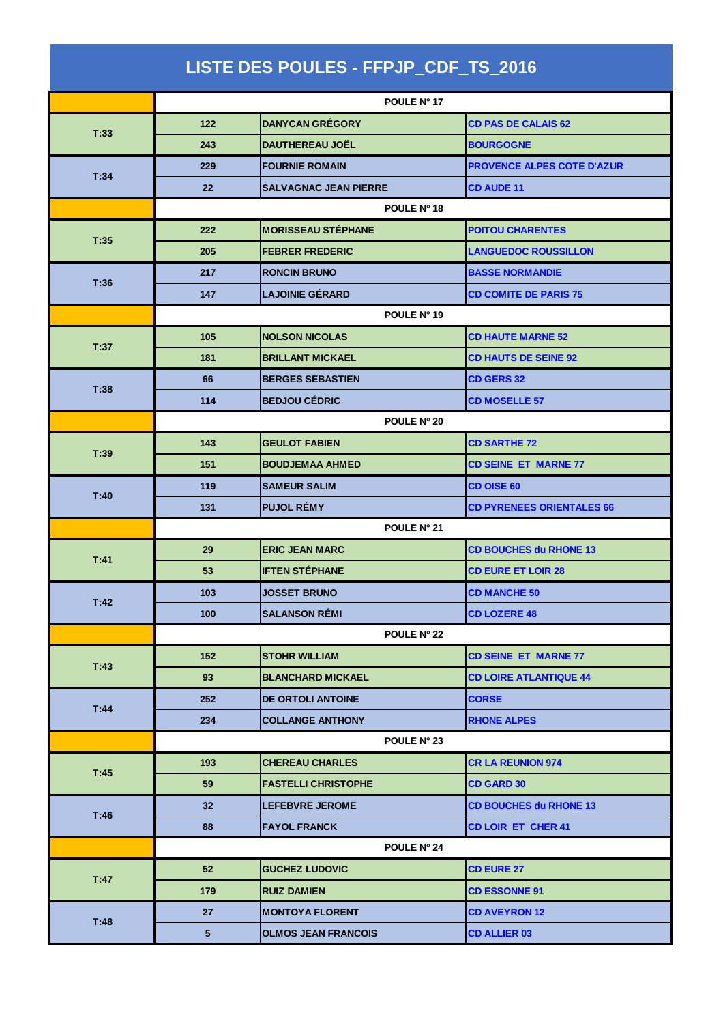| LISTE DES POULES - FFPJP_CDF_TS_2016 |             |                              |                                   |
|--------------------------------------|-------------|------------------------------|-----------------------------------|
|                                      |             | POULE N° 17                  |                                   |
|                                      | 122         | <b>DANYCAN GRÉGORY</b>       | <b>CD PAS DE CALAIS 62</b>        |
| T:33                                 | 243         | <b>DAUTHEREAU JOËL</b>       | <b>BOURGOGNE</b>                  |
|                                      | 229         | <b>FOURNIE ROMAIN</b>        | <b>PROVENCE ALPES COTE D'AZUR</b> |
| T:34                                 | 22          | <b>SALVAGNAC JEAN PIERRE</b> | <b>CD AUDE 11</b>                 |
|                                      |             | POULE N° 18                  |                                   |
| T:35                                 | 222         | <b>MORISSEAU STÉPHANE</b>    | <b>POITOU CHARENTES</b>           |
|                                      | 205         | <b>FEBRER FREDERIC</b>       | <b>LANGUEDOC ROUSSILLON</b>       |
| T:36                                 | 217         | <b>RONCIN BRUNO</b>          | <b>BASSE NORMANDIE</b>            |
|                                      | 147         | <b>LAJOINIE GÉRARD</b>       | <b>CD COMITE DE PARIS 75</b>      |
|                                      |             | POULE N° 19                  |                                   |
| T:37                                 | 105         | <b>NOLSON NICOLAS</b>        | <b>CD HAUTE MARNE 52</b>          |
|                                      | 181         | <b>BRILLANT MICKAEL</b>      | <b>CD HAUTS DE SEINE 92</b>       |
| T:38                                 | 66          | <b>BERGES SEBASTIEN</b>      | <b>CD GERS 32</b>                 |
|                                      | 114         | <b>BEDJOU CÉDRIC</b>         | <b>CD MOSELLE 57</b>              |
|                                      |             | POULE N° 20                  |                                   |
| T:39                                 | 143         | <b>GEULOT FABIEN</b>         | <b>CD SARTHE 72</b>               |
|                                      | 151         | <b>BOUDJEMAA AHMED</b>       | <b>CD SEINE ET MARNE 77</b>       |
| T:40                                 | 119         | <b>SAMEUR SALIM</b>          | <b>CD OISE 60</b>                 |
|                                      | 131         | <b>PUJOL RÉMY</b>            | <b>CD PYRENEES ORIENTALES 66</b>  |
|                                      | POULE N° 21 |                              |                                   |
| T:41                                 | 29          | <b>ERIC JEAN MARC</b>        | <b>CD BOUCHES du RHONE 13</b>     |
|                                      | 53          | <b>IFTEN STÉPHANE</b>        | <b>CD EURE ET LOIR 28</b>         |
| T:42                                 | 103         | <b>JOSSET BRUNO</b>          | <b>CD MANCHE 50</b>               |
|                                      | 100         | <b>SALANSON RÉMI</b>         | <b>CD LOZERE 48</b>               |
|                                      | POULE N° 22 |                              |                                   |
| T:43                                 | 152         | <b>STOHR WILLIAM</b>         | <b>CD SEINE ET MARNE 77</b>       |
|                                      | 93          | <b>BLANCHARD MICKAEL</b>     | <b>CD LOIRE ATLANTIQUE 44</b>     |
| T:44                                 | 252         | <b>DE ORTOLI ANTOINE</b>     | <b>CORSE</b>                      |
|                                      | 234         | <b>COLLANGE ANTHONY</b>      | <b>RHONE ALPES</b>                |
|                                      | POULE N° 23 |                              |                                   |
| T:45                                 | 193         | <b>CHEREAU CHARLES</b>       | <b>CR LA REUNION 974</b>          |
|                                      | 59          | <b>FASTELLI CHRISTOPHE</b>   | <b>CD GARD 30</b>                 |
| T:46                                 | 32          | <b>LEFEBVRE JEROME</b>       | <b>CD BOUCHES du RHONE 13</b>     |
|                                      | 88          | <b>FAYOL FRANCK</b>          | <b>CD LOIR ET CHER 41</b>         |
|                                      |             | POULE N° 24                  |                                   |
|                                      | 52          | <b>GUCHEZ LUDOVIC</b>        | <b>CD EURE 27</b>                 |
| T:47                                 | 179         | <b>RUIZ DAMIEN</b>           | <b>CD ESSONNE 91</b>              |
|                                      | 27          | <b>MONTOYA FLORENT</b>       | <b>CD AVEYRON 12</b>              |
| T:48                                 | $\sqrt{5}$  | <b>OLMOS JEAN FRANCOIS</b>   | <b>CD ALLIER 03</b>               |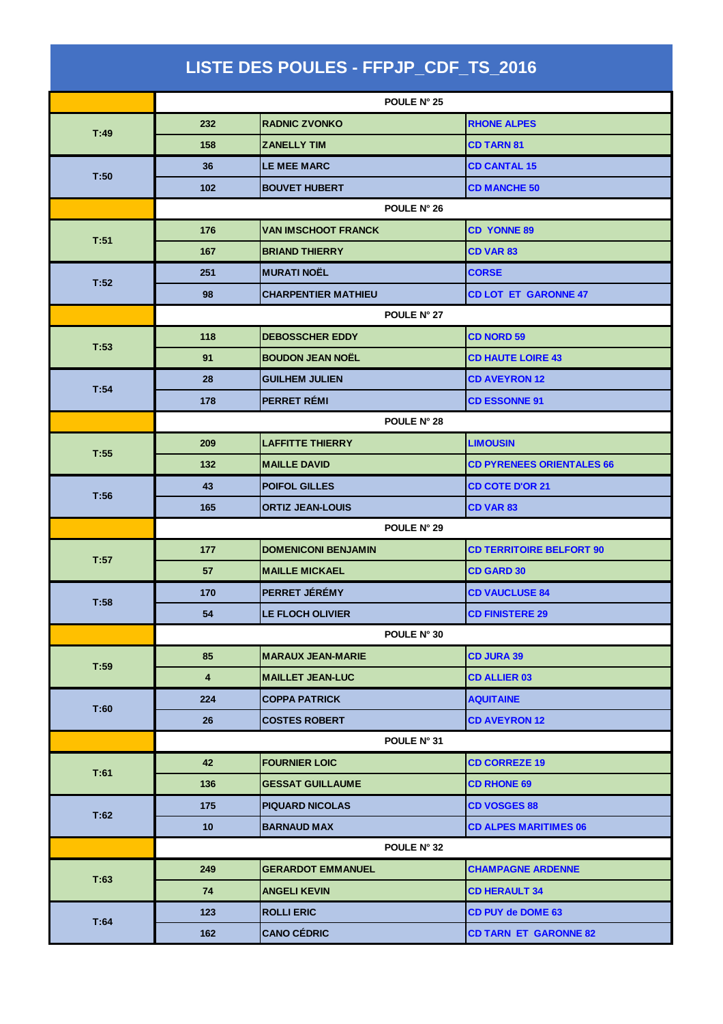| LISTE DES POULES - FFPJP_CDF_TS_2016 |                         |                            |                                  |
|--------------------------------------|-------------------------|----------------------------|----------------------------------|
|                                      |                         | POULE N° 25                |                                  |
| T:49                                 | 232                     | <b>RADNIC ZVONKO</b>       | <b>RHONE ALPES</b>               |
|                                      | 158                     | <b>ZANELLY TIM</b>         | <b>CD TARN 81</b>                |
| T:50                                 | 36                      | <b>LE MEE MARC</b>         | <b>CD CANTAL 15</b>              |
|                                      | 102                     | <b>BOUVET HUBERT</b>       | <b>CD MANCHE 50</b>              |
|                                      |                         | POULE N° 26                |                                  |
| T:51                                 | 176                     | <b>VAN IMSCHOOT FRANCK</b> | <b>CD YONNE 89</b>               |
|                                      | 167                     | <b>BRIAND THIERRY</b>      | <b>CD VAR 83</b>                 |
| T:52                                 | 251                     | <b>MURATI NOËL</b>         | <b>CORSE</b>                     |
|                                      | 98                      | <b>CHARPENTIER MATHIEU</b> | <b>CD LOT ET GARONNE 47</b>      |
|                                      |                         | POULE N° 27                |                                  |
| T:53                                 | 118                     | <b>DEBOSSCHER EDDY</b>     | <b>CD NORD 59</b>                |
|                                      | 91                      | <b>BOUDON JEAN NOEL</b>    | <b>CD HAUTE LOIRE 43</b>         |
| T:54                                 | 28                      | <b>GUILHEM JULIEN</b>      | <b>CD AVEYRON 12</b>             |
|                                      | 178                     | <b>PERRET RÉMI</b>         | <b>CD ESSONNE 91</b>             |
|                                      | POULE N° 28             |                            |                                  |
| T:55                                 | 209                     | <b>LAFFITTE THIERRY</b>    | <b>LIMOUSIN</b>                  |
|                                      | 132                     | <b>MAILLE DAVID</b>        | <b>CD PYRENEES ORIENTALES 66</b> |
| T:56                                 | 43                      | <b>POIFOL GILLES</b>       | <b>CD COTE D'OR 21</b>           |
|                                      | 165                     | <b>ORTIZ JEAN-LOUIS</b>    | <b>CD VAR 83</b>                 |
|                                      | POULE N° 29             |                            |                                  |
| T:57                                 | 177                     | <b>DOMENICONI BENJAMIN</b> | <b>CD TERRITOIRE BELFORT 90</b>  |
|                                      | 57                      | <b>MAILLE MICKAEL</b>      | <b>CD GARD 30</b>                |
| T:58                                 | 170                     | PERRET JÉRÉMY              | <b>CD VAUCLUSE 84</b>            |
|                                      | 54                      | LE FLOCH OLIVIER           | <b>CD FINISTERE 29</b>           |
|                                      |                         | POULE N° 30                |                                  |
| T:59                                 | 85                      | <b>MARAUX JEAN-MARIE</b>   | <b>CD JURA 39</b>                |
|                                      | $\overline{\mathbf{4}}$ | <b>MAILLET JEAN-LUC</b>    | <b>CD ALLIER 03</b>              |
| T:60                                 | 224                     | <b>COPPA PATRICK</b>       | <b>AQUITAINE</b>                 |
|                                      | 26                      | <b>COSTES ROBERT</b>       | <b>CD AVEYRON 12</b>             |
|                                      |                         | POULE N° 31                |                                  |
| T:61                                 | 42                      | <b>FOURNIER LOIC</b>       | <b>CD CORREZE 19</b>             |
|                                      | 136                     | <b>GESSAT GUILLAUME</b>    | <b>CD RHONE 69</b>               |
| T:62                                 | 175                     | <b>PIQUARD NICOLAS</b>     | <b>CD VOSGES 88</b>              |
|                                      | 10 <sub>1</sub>         | <b>BARNAUD MAX</b>         | <b>CD ALPES MARITIMES 06</b>     |
|                                      |                         | POULE N° 32                |                                  |
| T:63                                 | 249                     | <b>GERARDOT EMMANUEL</b>   | <b>CHAMPAGNE ARDENNE</b>         |
|                                      | 74                      | <b>ANGELI KEVIN</b>        | <b>CD HERAULT 34</b>             |
|                                      | 123                     | <b>ROLLIERIC</b>           | <b>CD PUY de DOME 63</b>         |
| T:64                                 | 162                     | <b>CANO CÉDRIC</b>         | <b>CD TARN ET GARONNE 82</b>     |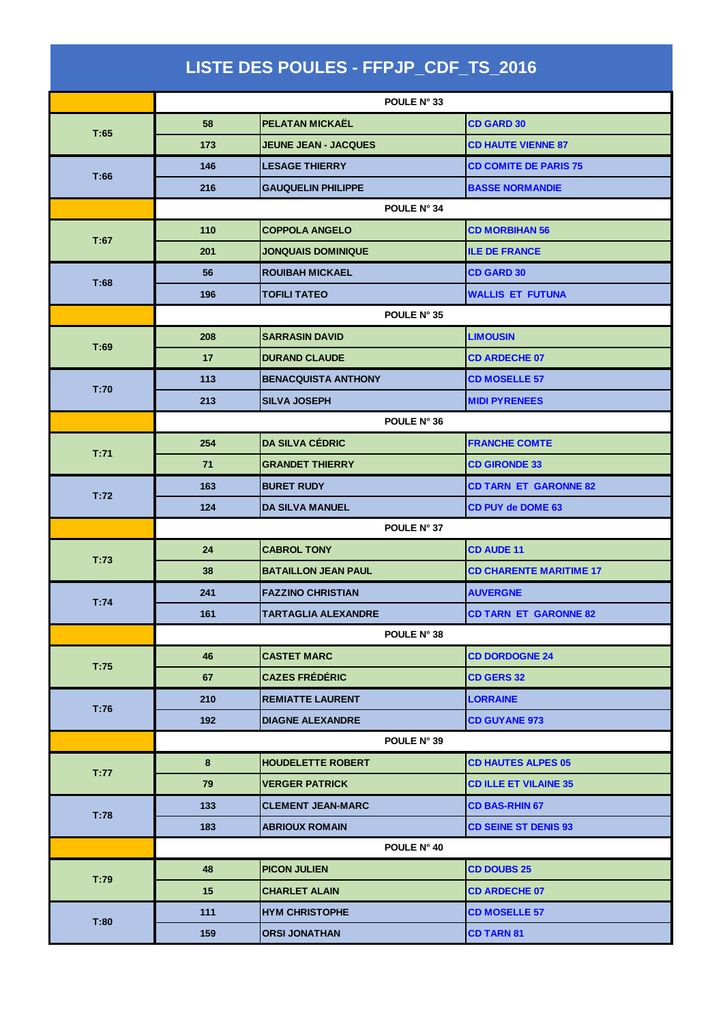| LISTE DES POULES - FFPJP_CDF_TS_2016 |             |                             |                                |
|--------------------------------------|-------------|-----------------------------|--------------------------------|
|                                      | POULE N° 33 |                             |                                |
|                                      | 58          | PELATAN MICKAËL             | <b>CD GARD 30</b>              |
| T:65                                 | 173         | <b>JEUNE JEAN - JACQUES</b> | <b>CD HAUTE VIENNE 87</b>      |
|                                      | 146         | <b>LESAGE THIERRY</b>       | <b>CD COMITE DE PARIS 75</b>   |
| T:66                                 | 216         | <b>GAUQUELIN PHILIPPE</b>   | <b>BASSE NORMANDIE</b>         |
|                                      |             | POULE N° 34                 |                                |
|                                      | 110         | <b>COPPOLA ANGELO</b>       | <b>CD MORBIHAN 56</b>          |
| T:67                                 | 201         | <b>JONQUAIS DOMINIQUE</b>   | <b>ILE DE FRANCE</b>           |
| T:68                                 | 56          | <b>ROUIBAH MICKAEL</b>      | <b>CD GARD 30</b>              |
|                                      | 196         | <b>TOFILI TATEO</b>         | <b>WALLIS ET FUTUNA</b>        |
|                                      |             | POULE N° 35                 |                                |
| T:69                                 | 208         | <b>SARRASIN DAVID</b>       | <b>LIMOUSIN</b>                |
|                                      | 17          | <b>DURAND CLAUDE</b>        | <b>CD ARDECHE 07</b>           |
| T:70                                 | 113         | <b>BENACQUISTA ANTHONY</b>  | <b>CD MOSELLE 57</b>           |
|                                      | 213         | <b>SILVA JOSEPH</b>         | <b>MIDI PYRENEES</b>           |
|                                      | POULE N° 36 |                             |                                |
| T:71                                 | 254         | <b>DA SILVA CÉDRIC</b>      | <b>FRANCHE COMTE</b>           |
|                                      | 71          | <b>GRANDET THIERRY</b>      | <b>CD GIRONDE 33</b>           |
| T:72                                 | 163         | <b>BURET RUDY</b>           | <b>CD TARN ET GARONNE 82</b>   |
|                                      | 124         | <b>DA SILVA MANUEL</b>      | <b>CD PUY de DOME 63</b>       |
|                                      | POULE N° 37 |                             |                                |
| T:73                                 | 24          | <b>CABROL TONY</b>          | <b>CD AUDE 11</b>              |
|                                      | 38          | <b>BATAILLON JEAN PAUL</b>  | <b>CD CHARENTE MARITIME 17</b> |
| T:74                                 | 241         | <b>FAZZINO CHRISTIAN</b>    | <b>AUVERGNE</b>                |
|                                      | 161         | TARTAGLIA ALEXANDRE         | <b>CD TARN ET GARONNE 82</b>   |
|                                      |             | POULE N° 38                 |                                |
| T:75                                 | 46          | <b>CASTET MARC</b>          | <b>CD DORDOGNE 24</b>          |
|                                      | 67          | <b>CAZES FRÉDÉRIC</b>       | <b>CD GERS 32</b>              |
| T:76                                 | 210         | <b>REMIATTE LAURENT</b>     | <b>LORRAINE</b>                |
|                                      | 192         | <b>DIAGNE ALEXANDRE</b>     | <b>CD GUYANE 973</b>           |
|                                      |             | POULE N° 39                 |                                |
| T:77                                 | 8           | <b>HOUDELETTE ROBERT</b>    | <b>CD HAUTES ALPES 05</b>      |
|                                      | 79          | <b>VERGER PATRICK</b>       | <b>CD ILLE ET VILAINE 35</b>   |
| T:78                                 | 133         | <b>CLEMENT JEAN-MARC</b>    | <b>CD BAS-RHIN 67</b>          |
|                                      | 183         | <b>ABRIOUX ROMAIN</b>       | <b>CD SEINE ST DENIS 93</b>    |
|                                      |             | POULE N° 40                 |                                |
| T:79                                 | 48          | <b>PICON JULIEN</b>         | <b>CD DOUBS 25</b>             |
|                                      | 15          | <b>CHARLET ALAIN</b>        | <b>CD ARDECHE 07</b>           |
|                                      | 111         | <b>HYM CHRISTOPHE</b>       | <b>CD MOSELLE 57</b>           |
| T:80                                 | 159         | <b>ORSI JONATHAN</b>        | <b>CD TARN 81</b>              |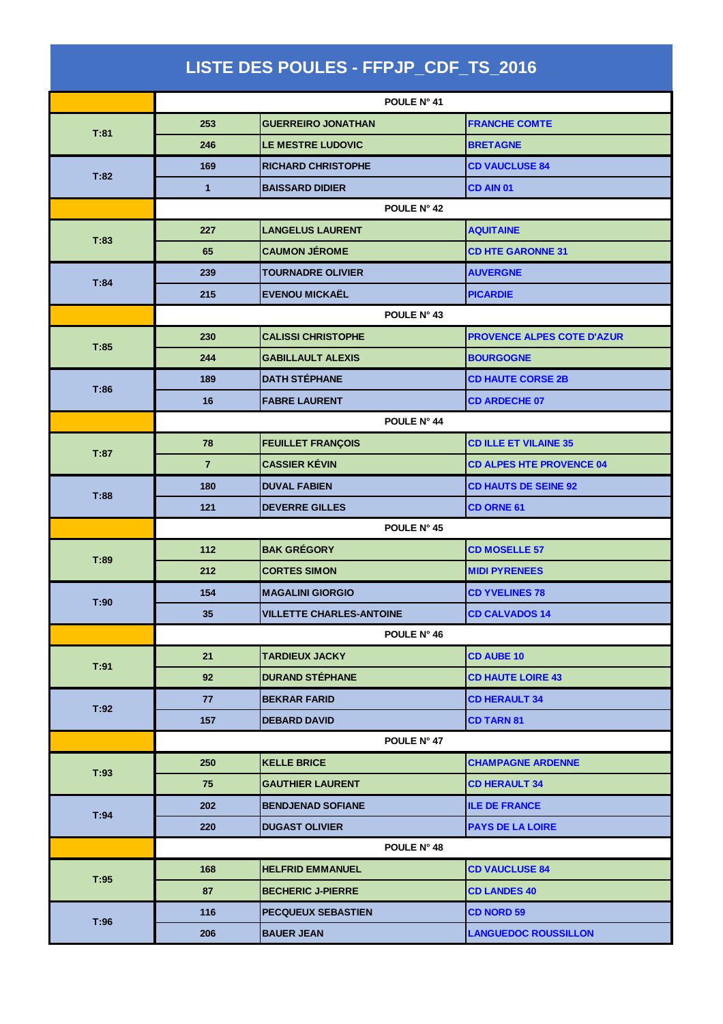| LISTE DES POULES - FFPJP_CDF_TS_2016 |                 |                                 |                                   |
|--------------------------------------|-----------------|---------------------------------|-----------------------------------|
|                                      | POULE N° 41     |                                 |                                   |
|                                      | 253             | <b>GUERREIRO JONATHAN</b>       | <b>FRANCHE COMTE</b>              |
| T:81                                 | 246             | LE MESTRE LUDOVIC               | <b>BRETAGNE</b>                   |
|                                      | 169             | <b>RICHARD CHRISTOPHE</b>       | <b>CD VAUCLUSE 84</b>             |
| T:82                                 | 1               | <b>BAISSARD DIDIER</b>          | CD AIN 01                         |
|                                      |                 | POULE N° 42                     |                                   |
|                                      | 227             | <b>LANGELUS LAURENT</b>         | <b>AQUITAINE</b>                  |
| T:83                                 | 65              | <b>CAUMON JÉROME</b>            | <b>CD HTE GARONNE 31</b>          |
|                                      | 239             | <b>TOURNADRE OLIVIER</b>        | <b>AUVERGNE</b>                   |
| T:84                                 | 215             | <b>EVENOU MICKAËL</b>           | <b>PICARDIE</b>                   |
|                                      |                 | POULE N° 43                     |                                   |
|                                      | 230             | <b>CALISSI CHRISTOPHE</b>       | <b>PROVENCE ALPES COTE D'AZUR</b> |
| T:85                                 | 244             | <b>GABILLAULT ALEXIS</b>        | <b>BOURGOGNE</b>                  |
|                                      | 189             | <b>DATH STÉPHANE</b>            | <b>CD HAUTE CORSE 2B</b>          |
| T:86                                 | 16              | <b>FABRE LAURENT</b>            | <b>CD ARDECHE 07</b>              |
|                                      |                 | POULE N° 44                     |                                   |
|                                      | 78              | <b>FEUILLET FRANÇOIS</b>        | <b>CD ILLE ET VILAINE 35</b>      |
| T:87                                 | $\overline{7}$  | <b>CASSIER KÉVIN</b>            | <b>CD ALPES HTE PROVENCE 04</b>   |
|                                      | 180             | <b>DUVAL FABIEN</b>             | <b>CD HAUTS DE SEINE 92</b>       |
| T:88                                 | 121             | <b>DEVERRE GILLES</b>           | <b>CD ORNE 61</b>                 |
|                                      | POULE N° 45     |                                 |                                   |
|                                      | 112             | <b>BAK GRÉGORY</b>              | <b>CD MOSELLE 57</b>              |
| T:89                                 | 212             | <b>CORTES SIMON</b>             | <b>MIDI PYRENEES</b>              |
| T:90                                 | 154             | <b>MAGALINI GIORGIO</b>         | <b>CD YVELINES 78</b>             |
|                                      | 35 <sub>2</sub> | <b>VILLETTE CHARLES-ANTOINE</b> | <b>CD CALVADOS 14</b>             |
|                                      |                 | POULE N° 46                     |                                   |
|                                      | 21              | TARDIEUX JACKY                  | <b>CD AUBE 10</b>                 |
| T:91                                 | 92              | <b>DURAND STÉPHANE</b>          | <b>CD HAUTE LOIRE 43</b>          |
|                                      | 77              | <b>BEKRAR FARID</b>             | <b>CD HERAULT 34</b>              |
| T:92                                 | 157             | <b>DEBARD DAVID</b>             | <b>CD TARN 81</b>                 |
|                                      |                 | POULE N° 47                     |                                   |
| T:93                                 | 250             | <b>KELLE BRICE</b>              | <b>CHAMPAGNE ARDENNE</b>          |
|                                      | 75              | <b>GAUTHIER LAURENT</b>         | <b>CD HERAULT 34</b>              |
| T:94                                 | 202             | <b>BENDJENAD SOFIANE</b>        | <b>ILE DE FRANCE</b>              |
|                                      | 220             | <b>DUGAST OLIVIER</b>           | <b>PAYS DE LA LOIRE</b>           |
|                                      | POULE N° 48     |                                 |                                   |
|                                      | 168             | <b>HELFRID EMMANUEL</b>         | <b>CD VAUCLUSE 84</b>             |
| T:95                                 | 87              | <b>BECHERIC J-PIERRE</b>        | <b>CD LANDES 40</b>               |
|                                      | 116             | <b>PECQUEUX SEBASTIEN</b>       | <b>CD NORD 59</b>                 |
| T:96                                 | 206             | <b>BAUER JEAN</b>               | <b>LANGUEDOC ROUSSILLON</b>       |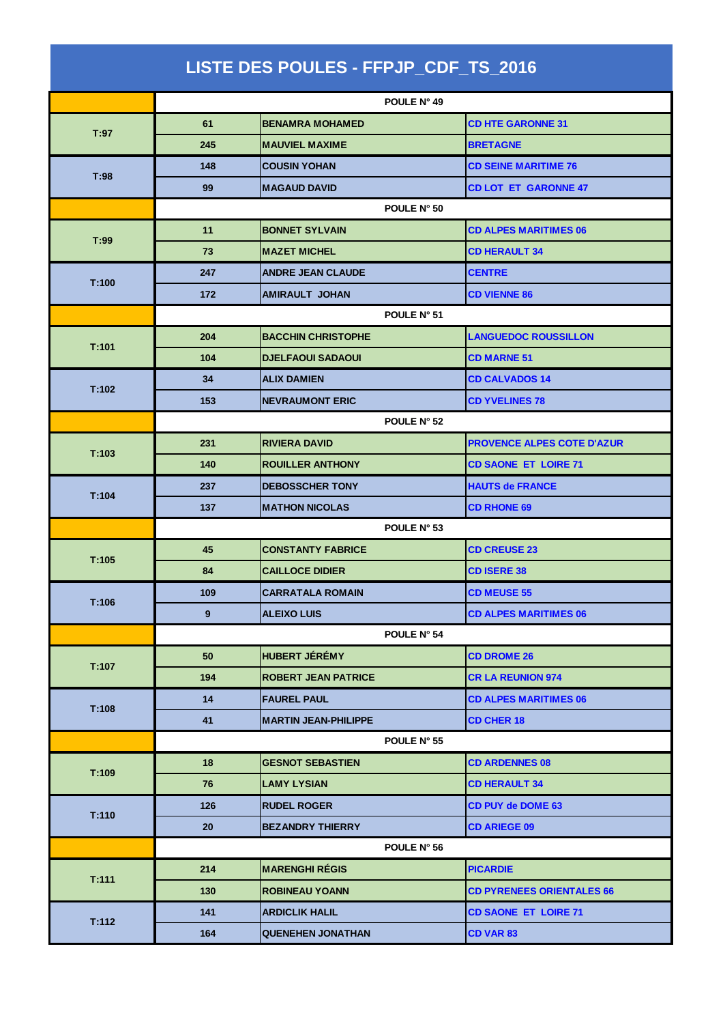| LISTE DES POULES - FFPJP_CDF_TS_2016 |             |                             |             |                                   |
|--------------------------------------|-------------|-----------------------------|-------------|-----------------------------------|
|                                      | POULE N° 49 |                             |             |                                   |
| T:97                                 | 61          | <b>BENAMRA MOHAMED</b>      |             | <b>CD HTE GARONNE 31</b>          |
|                                      | 245         | <b>MAUVIEL MAXIME</b>       |             | <b>BRETAGNE</b>                   |
|                                      | 148         | <b>COUSIN YOHAN</b>         |             | <b>CD SEINE MARITIME 76</b>       |
| T:98                                 | 99          | <b>MAGAUD DAVID</b>         |             | <b>CD LOT ET GARONNE 47</b>       |
|                                      |             |                             | POULE N° 50 |                                   |
| T:99                                 | 11          | <b>BONNET SYLVAIN</b>       |             | <b>CD ALPES MARITIMES 06</b>      |
|                                      | 73          | <b>MAZET MICHEL</b>         |             | <b>CD HERAULT 34</b>              |
| T:100                                | 247         | <b>ANDRE JEAN CLAUDE</b>    |             | <b>CENTRE</b>                     |
|                                      | 172         | <b>AMIRAULT JOHAN</b>       |             | <b>CD VIENNE 86</b>               |
|                                      |             |                             | POULE N° 51 |                                   |
| T:101                                | 204         | <b>BACCHIN CHRISTOPHE</b>   |             | <b>LANGUEDOC ROUSSILLON</b>       |
|                                      | 104         | <b>DJELFAOUI SADAOUI</b>    |             | <b>CD MARNE 51</b>                |
| T:102                                | 34          | <b>ALIX DAMIEN</b>          |             | <b>CD CALVADOS 14</b>             |
|                                      | 153         | <b>NEVRAUMONT ERIC</b>      |             | <b>CD YVELINES 78</b>             |
|                                      | POULE N° 52 |                             |             |                                   |
| T:103                                | 231         | <b>RIVIERA DAVID</b>        |             | <b>PROVENCE ALPES COTE D'AZUR</b> |
|                                      | 140         | <b>ROUILLER ANTHONY</b>     |             | <b>CD SAONE ET LOIRE 71</b>       |
| T:104                                | 237         | <b>DEBOSSCHER TONY</b>      |             | <b>HAUTS de FRANCE</b>            |
|                                      | 137         | <b>MATHON NICOLAS</b>       |             | <b>CD RHONE 69</b>                |
|                                      | POULE N° 53 |                             |             |                                   |
| T:105                                | 45          | <b>CONSTANTY FABRICE</b>    |             | <b>CD CREUSE 23</b>               |
|                                      | 84          | <b>CAILLOCE DIDIER</b>      |             | <b>CD ISERE 38</b>                |
| T:106                                | 109         | <b>CARRATALA ROMAIN</b>     |             | <b>CD MEUSE 55</b>                |
|                                      | 9           | <b>ALEIXO LUIS</b>          |             | <b>CD ALPES MARITIMES 06</b>      |
|                                      |             |                             | POULE N° 54 |                                   |
| T:107                                | 50          | HUBERT JÉRÉMY               |             | <b>CD DROME 26</b>                |
|                                      | 194         | <b>ROBERT JEAN PATRICE</b>  |             | <b>CR LA REUNION 974</b>          |
| T:108                                | 14          | <b>FAUREL PAUL</b>          |             | <b>CD ALPES MARITIMES 06</b>      |
|                                      | 41          | <b>MARTIN JEAN-PHILIPPE</b> |             | <b>CD CHER 18</b>                 |
|                                      |             |                             | POULE N° 55 |                                   |
| T:109                                | 18          | <b>GESNOT SEBASTIEN</b>     |             | <b>CD ARDENNES 08</b>             |
|                                      | 76          | <b>LAMY LYSIAN</b>          |             | <b>CD HERAULT 34</b>              |
| T:110                                | 126         | <b>RUDEL ROGER</b>          |             | <b>CD PUY de DOME 63</b>          |
|                                      | 20          | <b>BEZANDRY THIERRY</b>     |             | <b>CD ARIEGE 09</b>               |
|                                      |             |                             | POULE N° 56 |                                   |
|                                      | 214         | <b>MARENGHI RÉGIS</b>       |             | <b>PICARDIE</b>                   |
| T:111                                | 130         | <b>ROBINEAU YOANN</b>       |             | <b>CD PYRENEES ORIENTALES 66</b>  |
|                                      | 141         | <b>ARDICLIK HALIL</b>       |             | <b>CD SAONE ET LOIRE 71</b>       |
| T:112                                | 164         | <b>QUENEHEN JONATHAN</b>    |             | <b>CD VAR 83</b>                  |